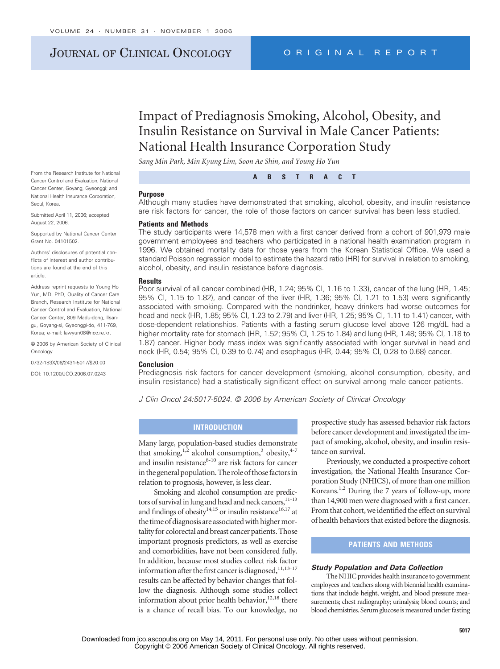# JOURNAL OF CLINICAL ONCOLOGY ORIGINAL REPORT

# Impact of Prediagnosis Smoking, Alcohol, Obesity, and Insulin Resistance on Survival in Male Cancer Patients: National Health Insurance Corporation Study

*Sang Min Park, Min Kyung Lim, Soon Ae Shin, and Young Ho Yun*

From the Research Institute for National Cancer Control and Evaluation, National Cancer Center, Goyang, Gyeonggi; and National Health Insurance Corporation, Seoul, Korea.

Submitted April 11, 2006; accepted August 22, 2006.

Supported by National Cancer Center Grant No. 04101502.

Authors' disclosures of potential conflicts of interest and author contributions are found at the end of this article.

Address reprint requests to Young Ho Yun, MD, PhD, Quality of Cancer Care Branch, Research Institute for National Cancer Control and Evaluation, National Cancer Center, 809 Madu-dong, Ilsangu, Goyang-si, Gyeonggi-do, 411-769, Korea; e-mail: lawyun08@ncc.re.kr.

© 2006 by American Society of Clinical Oncology

0732-183X/06/2431-5017/\$20.00

DOI: 10.1200/JCO.2006.07.0243

#### **Purpose**

Although many studies have demonstrated that smoking, alcohol, obesity, and insulin resistance are risk factors for cancer, the role of those factors on cancer survival has been less studied.

**ABSTRACT**

#### **Patients and Methods**

The study participants were 14,578 men with a first cancer derived from a cohort of 901,979 male government employees and teachers who participated in a national health examination program in 1996. We obtained mortality data for those years from the Korean Statistical Office. We used a standard Poisson regression model to estimate the hazard ratio (HR) for survival in relation to smoking, alcohol, obesity, and insulin resistance before diagnosis.

#### **Results**

Poor survival of all cancer combined (HR, 1.24; 95% CI, 1.16 to 1.33), cancer of the lung (HR, 1.45; 95% CI, 1.15 to 1.82), and cancer of the liver (HR, 1.36; 95% CI, 1.21 to 1.53) were significantly associated with smoking. Compared with the nondrinker, heavy drinkers had worse outcomes for head and neck (HR, 1.85; 95% CI, 1.23 to 2.79) and liver (HR, 1.25; 95% CI, 1.11 to 1.41) cancer, with dose-dependent relationships. Patients with a fasting serum glucose level above 126 mg/dL had a higher mortality rate for stomach (HR, 1.52; 95% CI, 1.25 to 1.84) and lung (HR, 1.48; 95% CI, 1.18 to 1.87) cancer. Higher body mass index was significantly associated with longer survival in head and neck (HR, 0.54; 95% CI, 0.39 to 0.74) and esophagus (HR, 0.44; 95% CI, 0.28 to 0.68) cancer.

#### **Conclusion**

Prediagnosis risk factors for cancer development (smoking, alcohol consumption, obesity, and insulin resistance) had a statistically significant effect on survival among male cancer patients.

*J Clin Oncol 24:5017-5024. © 2006 by American Society of Clinical Oncology*

## **INTRODUCTION**

Many large, population-based studies demonstrate that smoking, $1,2$  alcohol consumption,<sup>3</sup> obesity, $4-7$ and insulin resistance $8-10$  are risk factors for cancer in the general population. The role of those factors in relation to prognosis, however, is less clear.

Smoking and alcohol consumption are predictors of survival in lung and head and neck cancers, 11-13 and findings of obesity<sup>14,15</sup> or insulin resistance<sup>16,17</sup> at the time of diagnosis are associated with higher mortality for colorectal and breast cancer patients. Those important prognosis predictors, as well as exercise and comorbidities, have not been considered fully. In addition, because most studies collect risk factor information after the first cancer is diagnosed, $11,13-17$ results can be affected by behavior changes that follow the diagnosis. Although some studies collect information about prior health behavior, $12,18$  there is a chance of recall bias. To our knowledge, no prospective study has assessed behavior risk factors before cancer development and investigated the impact of smoking, alcohol, obesity, and insulin resistance on survival.

Previously, we conducted a prospective cohort investigation, the National Health Insurance Corporation Study (NHICS), of more than one million Koreans.<sup>1,2</sup> During the 7 years of follow-up, more than 14,900 men were diagnosed with a first cancer. From that cohort, we identified the effect on survival of health behaviors that existed before the diagnosis.

## **PATIENTS AND METHODS**

#### *Study Population and Data Collection*

The NHIC provides health insurance to government employees and teachers along with biennial health examinations that include height, weight, and blood pressure measurements; chest radiography; urinalysis; blood counts; and blood chemistries. Serum glucose is measured under fasting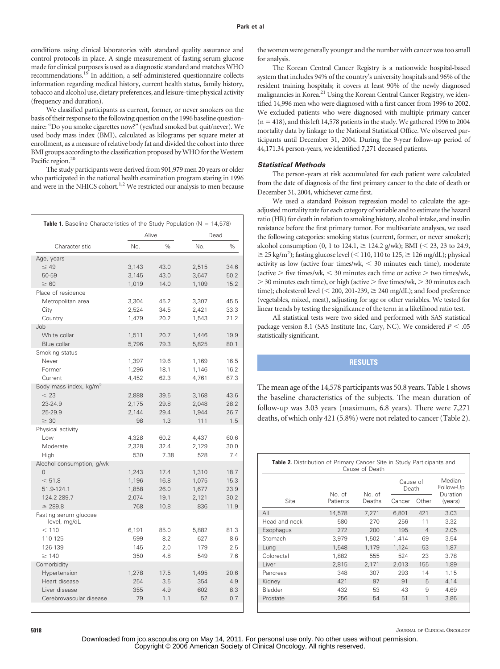conditions using clinical laboratories with standard quality assurance and control protocols in place. A single measurement of fasting serum glucose made for clinical purposes is used as a diagnostic standard and matchesWHO recommendations.19 In addition, a self-administered questionnaire collects information regarding medical history, current health status, family history, tobacco and alcohol use, dietary preferences, and leisure-time physical activity (frequency and duration).

We classified participants as current, former, or never smokers on the basis of their response to the following question on the 1996 baseline questionnaire: "Do you smoke cigarettes now?" (yes/had smoked but quit/never). We used body mass index (BMI), calculated as kilograms per square meter at enrollment, as a measure of relative body fat and divided the cohort into three BMI groups according to the classification proposed by WHO for the Western Pacific region.<sup>20</sup>

The study participants were derived from 901,979 men 20 years or older who participated in the national health examination program staring in 1996 and were in the NHICS cohort.<sup>1,2</sup> We restricted our analysis to men because

| <b>Table 1.</b> Baseline Characteristics of the Study Population ( $N = 14,578$ )        |                                         |                                      |                                         |                                      |  |  |  |  |  |  |
|------------------------------------------------------------------------------------------|-----------------------------------------|--------------------------------------|-----------------------------------------|--------------------------------------|--|--|--|--|--|--|
|                                                                                          |                                         | Alive                                | Dead                                    |                                      |  |  |  |  |  |  |
| Characteristic                                                                           | No.                                     | $\%$                                 | No.                                     | $\%$                                 |  |  |  |  |  |  |
| Age, years<br>$\leq 49$<br>50-59<br>$\geq 60$                                            | 3,143<br>3,145<br>1,019                 | 43.0<br>43.0<br>14.0                 | 2,515<br>3,647<br>1,109                 | 34.6<br>50.2<br>15.2                 |  |  |  |  |  |  |
| Place of residence<br>Metropolitan area<br>City<br>Country<br>.Job                       | 3,304<br>2,524<br>1,479                 | 45.2<br>34.5<br>20.2                 | 3,307<br>2,421<br>1,543                 | 45.5<br>33.3<br>21.2                 |  |  |  |  |  |  |
| White collar<br>Blue collar                                                              | 1,511<br>5,796                          | 20.7<br>79.3                         | 1,446<br>5,825                          | 19.9<br>80.1                         |  |  |  |  |  |  |
| Smoking status<br>Never<br>Former<br>Current                                             | 1,397<br>1,296<br>4,452                 | 19.6<br>18.1<br>62.3                 | 1,169<br>1,146<br>4,761                 | 16.5<br>16.2<br>67.3                 |  |  |  |  |  |  |
| Body mass index, kg/m <sup>2</sup><br>< 23<br>23-24.9<br>25-29.9<br>$\geq 30$            | 2,888<br>2,175<br>2,144<br>98           | 39.5<br>29.8<br>29.4<br>1.3          | 3,168<br>2,048<br>1,944<br>111          | 43.6<br>28.2<br>26.7<br>1.5          |  |  |  |  |  |  |
| Physical activity<br>Low<br>Moderate<br>High                                             | 4,328<br>2,328<br>530                   | 60.2<br>32.4<br>7.38                 | 4,437<br>2,129<br>528                   | 60.6<br>30.0<br>7.4                  |  |  |  |  |  |  |
| Alcohol consumption, g/wk<br>0<br>< 51.8<br>51.9-124.1<br>124.2-289.7<br>$\geq 289.8$    | 1,243<br>1,196<br>1,858<br>2,074<br>768 | 17.4<br>16.8<br>26.0<br>19.1<br>10.8 | 1,310<br>1,075<br>1,677<br>2,121<br>836 | 18.7<br>15.3<br>23.9<br>30.2<br>11.9 |  |  |  |  |  |  |
| Fasting serum glucose<br>level, mg/dL<br>< 110<br>110-125<br>126-139<br>$\geq 140$       | 6,191<br>599<br>145<br>350              | 85.0<br>8.2<br>2.0<br>4.8            | 5,882<br>627<br>179<br>549              | 81.3<br>8.6<br>2.5<br>7.6            |  |  |  |  |  |  |
| Comorbidity<br>Hypertension<br>Heart disease<br>Liver disease<br>Cerebrovascular disease | 1,278<br>254<br>355<br>79               | 17.5<br>3.5<br>4.9<br>1.1            | 1,495<br>354<br>602<br>52               | 20.6<br>4.9<br>8.3<br>0.7            |  |  |  |  |  |  |

the women were generally younger and the number with cancer was too small for analysis.

The Korean Central Cancer Registry is a nationwide hospital-based system that includes 94% of the country's university hospitals and 96% of the resident training hospitals; it covers at least 90% of the newly diagnosed malignancies in Korea.<sup>21</sup> Using the Korean Central Cancer Registry, we identified 14,996 men who were diagnosed with a first cancer from 1996 to 2002. We excluded patients who were diagnosed with multiple primary cancer  $(n = 418)$ , and this left 14,578 patients in the study. We gathered 1996 to 2004 mortality data by linkage to the National Statistical Office. We observed participants until December 31, 2004. During the 9-year follow-up period of 44,171.34 person-years, we identified 7,271 deceased patients.

#### *Statistical Methods*

The person-years at risk accumulated for each patient were calculated from the date of diagnosis of the first primary cancer to the date of death or December 31, 2004, whichever came first.

We used a standard Poisson regression model to calculate the ageadjusted mortality rate for each category of variable and to estimate the hazard ratio (HR) for death in relation to smoking history, alcohol intake, and insulin resistance before the first primary tumor. For multivariate analyses, we used the following categories: smoking status (current, former, or never smoker); alcohol consumption  $(0, 1 \text{ to } 124.1) \ge 124.2 \text{ g/wk}$ ; BMI  $(< 23, 23 \text{ to } 24.9)$ ,  $\geq$  25 kg/m<sup>2</sup>); fasting glucose level (< 110, 110 to 125,  $\geq$  126 mg/dL); physical activity as low (active four times/wk,  $\leq$  30 minutes each time), moderate (active  $>$  five times/wk,  $<$  30 minutes each time or active  $>$  two times/wk,  $>$  30 minutes each time), or high (active  $>$  five times/wk,  $>$  30 minutes each time); cholesterol level ( $<$  200, 201-239,  $\geq$  240 mg/dL); and food preference (vegetables, mixed, meat), adjusting for age or other variables. We tested for linear trends by testing the significance of the term in a likelihood ratio test.

All statistical tests were two sided and performed with SAS statistical package version 8.1 (SAS Institute Inc, Cary, NC). We considered  $P < .05$ statistically significant.

## **RESULTS**

The mean age of the 14,578 participants was 50.8 years. Table 1 shows the baseline characteristics of the subjects. The mean duration of follow-up was 3.03 years (maximum, 6.8 years). There were 7,271 deaths, of which only 421 (5.8%) were not related to cancer (Table 2).

| Table 2. Distribution of Primary Cancer Site in Study Participants and<br>Cause of Death |                    |                  |                   |                |                                            |  |  |  |  |
|------------------------------------------------------------------------------------------|--------------------|------------------|-------------------|----------------|--------------------------------------------|--|--|--|--|
|                                                                                          |                    |                  | Cause of<br>Death |                | Median<br>Follow-Up<br>Duration<br>(years) |  |  |  |  |
| Site                                                                                     | No. of<br>Patients | No. of<br>Deaths | Cancer            | Other          |                                            |  |  |  |  |
| All                                                                                      | 14,578             | 7,271            | 6,801             | 421            | 3.03                                       |  |  |  |  |
| Head and neck                                                                            | 580                | 270              | 256               | 11             | 3.32                                       |  |  |  |  |
| Esophagus                                                                                | 272                | 200              | 195               | $\overline{4}$ | 2.05                                       |  |  |  |  |
| Stomach                                                                                  | 3,979              | 1,502            | 1,414             | 69             | 3.54                                       |  |  |  |  |
| Lung                                                                                     | 1,548              | 1,179            | 1,124             | 53             | 1.87                                       |  |  |  |  |
| Colorectal                                                                               | 1.882              | 555              | 524               | 23             | 3.78                                       |  |  |  |  |
| Liver                                                                                    | 2,815              | 2,171            | 2,013             | 155            | 1.89                                       |  |  |  |  |
| Pancreas                                                                                 | 348                | 307              | 293               | 14             | 1.15                                       |  |  |  |  |
| Kidney                                                                                   | 421                | 97               | 91                | 5              | 4.14                                       |  |  |  |  |
| Bladder                                                                                  | 432                | 53               | 43                | 9              | 4.69                                       |  |  |  |  |
| Prostate                                                                                 | 256                | 54               | 51                | 1              | 3.86                                       |  |  |  |  |

**5018** JOURNAL OF CLINICAL ONCOLOGY

Downloaded from jco.ascopubs.org on May 14, 2011. For personal use only. No other uses without permission. Copyright © 2006 American Society of Clinical Oncology. All rights reserved.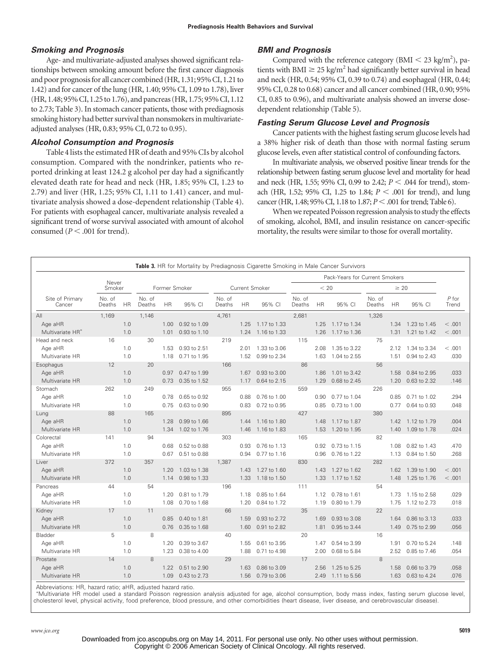## *Smoking and Prognosis*

Age- and multivariate-adjusted analyses showed significant relationships between smoking amount before the first cancer diagnosis and poor prognosis for all cancer combined (HR, 1.31; 95% CI, 1.21 to 1.42) and for cancer of the lung (HR, 1.40; 95% CI, 1.09 to 1.78), liver (HR, 1.48; 95%CI, 1.25 to 1.76), and pancreas (HR, 1.75; 95%CI, 1.12 to 2.73; Table 3). In stomach cancer patients, those with prediagnosis smoking history had better survival than nonsmokers in multivariateadjusted analyses (HR, 0.83; 95% CI, 0.72 to 0.95).

## *Alcohol Consumption and Prognosis*

Table 4 lists the estimated HR of death and 95% CIs by alcohol consumption. Compared with the nondrinker, patients who reported drinking at least 124.2 g alcohol per day had a significantly elevated death rate for head and neck (HR, 1.85; 95% CI, 1.23 to 2.79) and liver (HR, 1.25; 95% CI, 1.11 to 1.41) cancer, and multivariate analysis showed a dose-dependent relationship (Table 4). For patients with esophageal cancer, multivariate analysis revealed a significant trend of worse survival associated with amount of alcohol consumed ( $P < .001$  for trend).

## *BMI and Prognosis*

Compared with the reference category ( $BMI < 23$  kg/m<sup>2</sup>), patients with BMI  $\geq$  25 kg/m<sup>2</sup> had significantly better survival in head and neck (HR, 0.54; 95% CI, 0.39 to 0.74) and esophageal (HR, 0.44; 95% CI, 0.28 to 0.68) cancer and all cancer combined (HR, 0.90; 95% CI, 0.85 to 0.96), and multivariate analysis showed an inverse dosedependent relationship (Table 5).

## *Fasting Serum Glucose Level and Prognosis*

Cancer patients with the highest fasting serum glucose levels had a 38% higher risk of death than those with normal fasting serum glucose levels, even after statistical control of confounding factors.

In multivariate analysis, we observed positive linear trends for the relationship between fasting serum glucose level and mortality for head and neck (HR, 1.55; 95% CI, 0.99 to 2.42;  $P <$  .044 for trend), stomach (HR, 1.52; 95% CI, 1.25 to 1.84;  $P < .001$  for trend), and lung cancer (HR, 1.48; 95% CI, 1.18 to 1.87; *P* - .001 for trend; Table 6).

When we repeated Poisson regression analysis to study the effects of smoking, alcohol, BMI, and insulin resistance on cancer-specific mortality, the results were similar to those for overall mortality.

| <b>Table 3.</b> HR for Mortality by Prediagnosis Cigarette Smoking in Male Cancer Survivors |                  |            |                  |               |                              |                  |                       |                              |                  |                                |                              |                  |              |                              |                  |
|---------------------------------------------------------------------------------------------|------------------|------------|------------------|---------------|------------------------------|------------------|-----------------------|------------------------------|------------------|--------------------------------|------------------------------|------------------|--------------|------------------------------|------------------|
|                                                                                             |                  |            |                  |               |                              |                  |                       |                              |                  | Pack-Years for Current Smokers |                              |                  |              |                              |                  |
|                                                                                             | Never<br>Smoker  |            |                  | Former Smoker |                              |                  | <b>Current Smoker</b> |                              |                  | < 20                           |                              | $\geq 20$        |              |                              |                  |
| Site of Primary<br>Cancer                                                                   | No. of<br>Deaths | <b>HR</b>  | No. of<br>Deaths | <b>HR</b>     | 95% CI                       | No. of<br>Deaths | <b>HR</b>             | 95% CI                       | No. of<br>Deaths | <b>HR</b>                      | 95% CI                       | No. of<br>Deaths | <b>HR</b>    | 95% CI                       | $P$ for<br>Trend |
| All                                                                                         | 1.169            |            | 1,146            |               |                              | 4,761            |                       |                              | 2.681            |                                |                              | 1,326            |              |                              |                  |
| Age aHR                                                                                     |                  | 1.0        |                  | 1.00          | 0.92 to 1.09                 |                  | 1.25                  | 1.17 to 1.33                 |                  | 1.25                           | 1.17 to 1.34                 |                  | 1.34         | 1.23 to 1.45                 | < 0.001          |
| Multivariate HR*                                                                            |                  | 1.0        |                  | 1.01          | 0.93 to 1.10                 |                  | 1.24                  | 1.16 to 1.33                 |                  | 1.26                           | 1.17 to 1.36                 |                  |              | 1.31 1.21 to 1.42            | < .001           |
| Head and neck                                                                               | 16               |            | 30               |               |                              | 219              |                       |                              | 115              |                                |                              | 75               |              |                              |                  |
| Age aHR                                                                                     |                  | 1.0        |                  | 1.53          | 0.93 to 2.51                 |                  | 2.01                  | 1.33 to 3.06                 |                  | 2.08                           | 1.35 to 3.22                 |                  | 2.12         | 1.34 to 3.34                 | < 0.001          |
| Multivariate HR                                                                             |                  | 1.0        |                  | 1.18          | 0.71 to 1.95                 |                  | 1.52                  | 0.99 to 2.34                 |                  | 1.63                           | 1.04 to 2.55                 |                  | 1.51         | 0.94 to 2.43                 | .030             |
| Esophagus                                                                                   | 12               |            | 20               |               |                              | 166              |                       |                              | 86               |                                |                              | 56               |              |                              |                  |
| Age aHR<br>Multivariate HR                                                                  |                  | 1.0<br>1.0 |                  | 0.97<br>0.73  | 0.47 to 1.99<br>0.35 to 1.52 |                  | 1.67<br>1.17          | 0.93 to 3.00<br>0.64 to 2.15 |                  | 1.86<br>1.29                   | 1.01 to 3.42<br>0.68 to 2.45 |                  | 1.58<br>1.20 | 0.84 to 2.95<br>0.63 to 2.32 | .033<br>.146     |
| Stomach                                                                                     | 262              |            | 249              |               |                              | 955              |                       |                              | 559              |                                |                              | 226              |              |                              |                  |
| Age aHR                                                                                     |                  | 1.0        |                  | 0.78          | 0.65 to 0.92                 |                  | 0.88                  | 0.76 to 1.00                 |                  | 0.90                           | 0.77 to 1.04                 |                  | 0.85         | 0.71 to 1.02                 | .294             |
| Multivariate HR                                                                             |                  | 1.0        |                  | 0.75          | 0.63 to 0.90                 |                  | 0.83                  | 0.72 to 0.95                 |                  | 0.85                           | 0.73 to 1.00                 |                  | 0.77         | 0.64 to 0.93                 | .048             |
| Lung                                                                                        | 88               |            | 165              |               |                              | 895              |                       |                              | 427              |                                |                              | 380              |              |                              |                  |
| Age aHR                                                                                     |                  | 1.0        |                  | 1.28          | 0.99 to 1.66                 |                  | 1.44                  | 1.16 to 1.80                 |                  | 1.48                           | 1.17 to 1.87                 |                  | 1.42         | 1.12 to 1.79                 | .004             |
| Multivariate HR                                                                             |                  | 1.0        |                  | 1.34          | 1.02 to 1.76                 |                  | 1.46                  | 1.16 to 1.83                 |                  | 1.53                           | 1.20 to 1.95                 |                  | 1.40         | 1.09 to 1.78                 | .024             |
| Colorectal                                                                                  | 141              |            | 94               |               |                              | 303              |                       |                              | 165              |                                |                              | 82               |              |                              |                  |
| Age aHR                                                                                     |                  | 1.0        |                  | 0.68          | 0.52 to 0.88                 |                  | 0.93                  | 0.76 to 1.13                 |                  | 0.92                           | 0.73 to 1.15                 |                  | 1.08         | 0.82 to 1.43                 | .470             |
| Multivariate HR                                                                             |                  | 1.0        |                  | 0.67          | 0.51 to 0.88                 |                  | 0.94                  | 0.77 to 1.16                 |                  | 0.96                           | 0.76 to 1.22                 |                  | 1.13         | 0.84 to 1.50                 | .268             |
| Liver                                                                                       | 372              |            | 357              |               |                              | 1.387            |                       |                              | 830              |                                |                              | 282              |              |                              |                  |
| Age aHR                                                                                     |                  | 1.0        |                  | 1.20          | 1.03 to 1.38                 |                  | 1.43                  | 1.27 to 1.60                 |                  | 1.43                           | 1.27 to 1.62                 |                  | 1.62         | 1.39 to 1.90                 | < 0.001          |
| Multivariate HR                                                                             |                  | 1.0        |                  | 1.14          | 0.98 to 1.33                 |                  | 1.33                  | 1.18 to 1.50                 |                  | 1.33                           | 1.17 to 1.52                 |                  | 1.48         | 1.25 to 1.76                 | < 0.001          |
| Pancreas                                                                                    | 44               |            | 54               |               |                              | 196              |                       |                              | 111              |                                |                              | 54               |              |                              |                  |
| Age aHR                                                                                     |                  | 1.0        |                  | 1.20          | 0.81 to 1.79                 |                  | 1.18                  | 0.85 to 1.64                 |                  | 1.12                           | 0.78 to 1.61                 |                  | 1.73         | 1.15 to 2.58                 | .029             |
| Multivariate HR                                                                             |                  | 1.0        |                  | 1.08          | 0.70 to 1.68                 |                  | 1.20                  | 0.84 to 1.72                 |                  | 1.19                           | 0.80 to 1.79                 |                  | 1.75         | 1.12 to 2.73                 | .018             |
| Kidney                                                                                      | 17               |            | 11               |               |                              | 66               |                       |                              | 35               |                                |                              | 22               |              |                              |                  |
| Age aHR                                                                                     |                  | 1.0<br>1.0 |                  | 0.85          | 0.40 to 1.81                 |                  | 1.59                  | 0.93 to 2.72                 |                  | 1.69                           | 0.93 to 3.08                 |                  | 1.64         | 0.86 to 3.13                 | .033             |
| Multivariate HR<br>Bladder                                                                  | 5                |            | 8                | 0.76          | 0.35 to 1.68                 | 40               | 1.60                  | 0.91 to 2.82                 | 20               | 1.81                           | 0.95 to 3.44                 | 16               | 1.49         | 0.75 to 2.99                 | .056             |
| Age aHR                                                                                     |                  | 1.0        |                  | 1.20          | 0.39 to 3.67                 |                  | 1.55                  | 0.61 to 3.95                 |                  | 1.47                           | 0.54 to 3.99                 |                  | 1.91         | 0.70 to 5.24                 | .148             |
| Multivariate HR                                                                             |                  | 1.0        |                  | 1.23          | 0.38 to 4.00                 |                  | 1.88                  | 0.71 to 4.98                 |                  | 2.00                           | 0.68 to 5.84                 |                  | 2.52         | 0.85 to 7.46                 | .054             |
| Prostate                                                                                    | 14               |            | 8                |               |                              | 29               |                       |                              | 17               |                                |                              | 8                |              |                              |                  |
| Age aHR                                                                                     |                  | 1.0        |                  | 1.22          | 0.51 to 2.90                 |                  | 1.63                  | 0.86 to 3.09                 |                  | 2.56                           | 1.25 to 5.25                 |                  | 1.58         | 0.66 to 3.79                 | .058             |
| Multivariate HR                                                                             |                  | 1.0        |                  |               | 1.09 0.43 to 2.73            |                  | 1.56                  | 0.79 to 3.06                 |                  | 2.49                           | 1.11 to 5.56                 |                  |              | 1.63 0.63 to 4.24            | .076             |

Abbreviations: HR, hazard ratio; aHR, adjusted hazard ratio.

 Multivariate HR model used a standard Poisson regression analysis adjusted for age, alcohol consumption, body mass index, fasting serum glucose level, cholesterol level, physical activity, food preference, blood pressure, and other comorbidities (heart disease, liver disease, and cerebrovascular disease).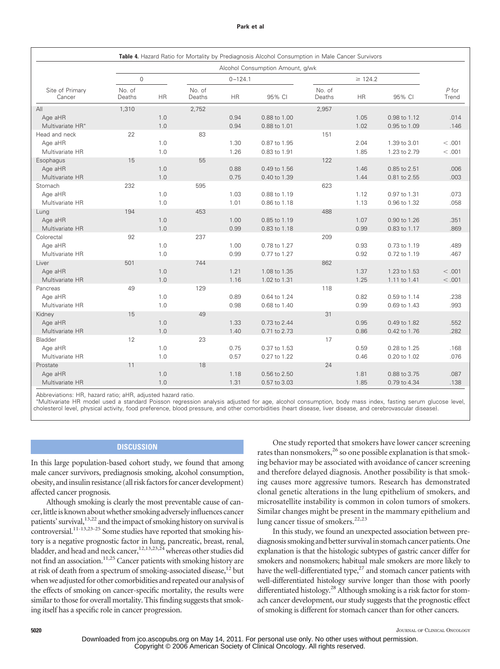#### **Park et al**

|                             |                  |            |                  |              | Table 4. Hazard Ratio for Mortality by Prediagnosis Alcohol Consumption in Male Cancer Survivors |                  |              |                              |                  |
|-----------------------------|------------------|------------|------------------|--------------|--------------------------------------------------------------------------------------------------|------------------|--------------|------------------------------|------------------|
|                             |                  |            |                  |              | Alcohol Consumption Amount, g/wk                                                                 |                  |              |                              |                  |
|                             | $\mathbf{0}$     |            |                  | $0 - 124.1$  |                                                                                                  |                  |              |                              |                  |
| Site of Primary<br>Cancer   | No. of<br>Deaths | <b>HR</b>  | No. of<br>Deaths | <b>HR</b>    | 95% CI                                                                                           | No. of<br>Deaths | <b>HR</b>    | 95% CI                       | $P$ for<br>Trend |
| All                         | 1,310            |            | 2,752            |              |                                                                                                  | 2,957            |              |                              |                  |
| Age aHR<br>Multivariate HR* |                  | 1.0<br>1.0 |                  | 0.94<br>0.94 | 0.88 to 1.00<br>0.88 to 1.01                                                                     |                  | 1.05<br>1.02 | 0.98 to 1.12<br>0.95 to 1.09 | .014<br>.146     |
| Head and neck               | 22               |            | 83               |              |                                                                                                  | 151              |              |                              |                  |
| Age aHR                     |                  | 1.0        |                  | 1.30         | 0.87 to 1.95                                                                                     |                  | 2.04         | 1.39 to 3.01                 | < 0.001          |
| Multivariate HR             |                  | 1.0        |                  | 1.26         | 0.83 to 1.91                                                                                     |                  | 1.85         | 1.23 to 2.79                 | < 0.001          |
| Esophagus                   | 15               |            | 55               |              |                                                                                                  | 122              |              |                              |                  |
| Age aHR                     |                  | 1.0        |                  | 0.88         | 0.49 to 1.56                                                                                     |                  | 1.46         | 0.85 to 2.51                 | .006             |
| Multivariate HR             |                  | 1.0        |                  | 0.75         | 0.40 to 1.39                                                                                     |                  | 1.44         | 0.81 to 2.55                 | .003             |
| Stomach<br>Age aHR          | 232              | 1.0        | 595              | 1.03         | 0.88 to 1.19                                                                                     | 623              | 1.12         | 0.97 to 1.31                 | .073             |
| Multivariate HR             |                  | 1.0        |                  | 1.01         | 0.86 to 1.18                                                                                     |                  | 1.13         | 0.96 to 1.32                 | .058             |
| Lung                        | 194              |            | 453              |              |                                                                                                  | 488              |              |                              |                  |
| Age aHR                     |                  | 1.0        |                  | 1.00         | 0.85 to 1.19                                                                                     |                  | 1.07         | 0.90 to 1.26                 | .351             |
| Multivariate HR             |                  | 1.0        |                  | 0.99         | 0.83 to 1.18                                                                                     |                  | 0.99         | 0.83 to 1.17                 | .869             |
| Colorectal                  | 92               |            | 237              |              |                                                                                                  | 209              |              |                              |                  |
| Age aHR                     |                  | 1.0        |                  | 1.00         | 0.78 to 1.27                                                                                     |                  | 0.93         | 0.73 to 1.19                 | .489             |
| Multivariate HR             |                  | 1.0        |                  | 0.99         | 0.77 to 1.27                                                                                     |                  | 0.92         | 0.72 to 1.19                 | .467             |
| Liver                       | 501              |            | 744              |              |                                                                                                  | 862              |              |                              |                  |
| Age aHR                     |                  | 1.0        |                  | 1.21         | 1.08 to 1.35                                                                                     |                  | 1.37         | 1.23 to 1.53                 | < .001           |
| Multivariate HR             |                  | 1.0        |                  | 1.16         | 1.02 to 1.31                                                                                     |                  | 1.25         | 1.11 to 1.41                 | < .001           |
| Pancreas                    | 49               |            | 129              |              |                                                                                                  | 118              |              |                              |                  |
| Age aHR<br>Multivariate HR  |                  | 1.0<br>1.0 |                  | 0.89<br>0.98 | 0.64 to 1.24<br>0.68 to 1.40                                                                     |                  | 0.82<br>0.99 | 0.59 to 1.14<br>0.69 to 1.43 | .238<br>.993     |
| Kidney                      | 15               |            | 49               |              |                                                                                                  | 31               |              |                              |                  |
| Age aHR                     |                  | 1.0        |                  | 1.33         | 0.73 to 2.44                                                                                     |                  | 0.95         | 0.49 to 1.82                 | .552             |
| Multivariate HR             |                  | 1.0        |                  | 1.40         | 0.71 to 2.73                                                                                     |                  | 0.86         | 0.42 to 1.76                 | .282             |
| Bladder                     | 12               |            | 23               |              |                                                                                                  | 17               |              |                              |                  |
| Age aHR                     |                  | 1.0        |                  | 0.75         | 0.37 to 1.53                                                                                     |                  | 0.59         | 0.28 to 1.25                 | .168             |
| Multivariate HR             |                  | 1.0        |                  | 0.57         | 0.27 to 1.22                                                                                     |                  | 0.46         | 0.20 to 1.02                 | .076             |
| Prostate                    | 11               |            | 18               |              |                                                                                                  | 24               |              |                              |                  |
| Age aHR                     |                  | 1.0        |                  | 1.18         | 0.56 to 2.50                                                                                     |                  | 1.81         | 0.88 to 3.75                 | .087             |
| Multivariate HR             |                  | 1.0        |                  | 1.31         | 0.57 to 3.03                                                                                     |                  | 1.85         | 0.79 to 4.34                 | .138             |

Abbreviations: HR, hazard ratio; aHR, adjusted hazard ratio.

 Multivariate HR model used a standard Poisson regression analysis adjusted for age, alcohol consumption, body mass index, fasting serum glucose level, cholesterol level, physical activity, food preference, blood pressure, and other comorbidities (heart disease, liver disease, and cerebrovascular disease).

## **DISCUSSION**

In this large population-based cohort study, we found that among male cancer survivors, prediagnosis smoking, alcohol consumption, obesity, and insulin resistance (all risk factors for cancer development) affected cancer prognosis.

Although smoking is clearly the most preventable cause of cancer, little is known about whether smoking adversely influences cancer patients' survival, <sup>13,22</sup> and the impact of smoking history on survival is controversial.11-13,23-25 Some studies have reported that smoking history is a negative prognostic factor in lung, pancreatic, breast, renal, bladder, and head and neck cancer,<sup>12,13,23,24</sup> whereas other studies did not find an association.<sup>11,25</sup> Cancer patients with smoking history are at risk of death from a spectrum of smoking-associated disease,<sup>12</sup> but when we adjusted for other comorbidities and repeated our analysis of the effects of smoking on cancer-specific mortality, the results were similar to those for overall mortality. This finding suggests that smoking itself has a specific role in cancer progression.

One study reported that smokers have lower cancer screening rates than nonsmokers,  $26$  so one possible explanation is that smoking behavior may be associated with avoidance of cancer screening and therefore delayed diagnosis. Another possibility is that smoking causes more aggressive tumors. Research has demonstrated clonal genetic alterations in the lung epithelium of smokers, and microsatellite instability is common in colon tumors of smokers. Similar changes might be present in the mammary epithelium and lung cancer tissue of smokers.<sup>22,23</sup>

In this study, we found an unexpected association between prediagnosis smoking and better survival in stomach cancer patients. One explanation is that the histologic subtypes of gastric cancer differ for smokers and nonsmokers; habitual male smokers are more likely to have the well-differentiated type,<sup>27</sup> and stomach cancer patients with well-differentiated histology survive longer than those with poorly differentiated histology.<sup>28</sup> Although smoking is a risk factor for stomach cancer development, our study suggests that the prognostic effect of smoking is different for stomach cancer than for other cancers.

**5020** JOURNAL OF CLINICAL ONCOLOGY Downloaded from jco.ascopubs.org on May 14, 2011. For personal use only. No other uses without permission.

Copyright © 2006 American Society of Clinical Oncology. All rights reserved.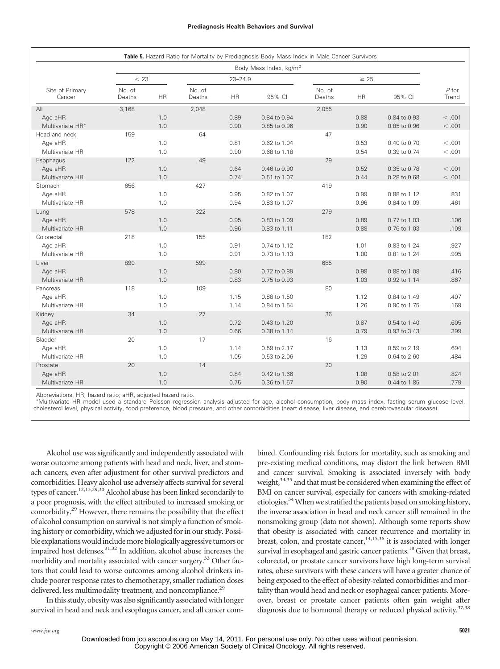|                             |                                    |            |                  |              | Table 5. Hazard Ratio for Mortality by Prediagnosis Body Mass Index in Male Cancer Survivors |                  |              |                              |                  |
|-----------------------------|------------------------------------|------------|------------------|--------------|----------------------------------------------------------------------------------------------|------------------|--------------|------------------------------|------------------|
|                             | Body Mass Index, kg/m <sup>2</sup> |            |                  |              |                                                                                              |                  |              |                              |                  |
|                             | < 23                               |            | $23 - 24.9$      |              |                                                                                              |                  |              |                              |                  |
| Site of Primary<br>Cancer   | No. of<br>Deaths                   | HR         | No. of<br>Deaths | <b>HR</b>    | 95% CI                                                                                       | No. of<br>Deaths | HR           | 95% CI                       | $P$ for<br>Trend |
| AlI                         | 3,168                              |            | 2,048            |              |                                                                                              | 2,055            |              |                              |                  |
| Age aHR<br>Multivariate HR* |                                    | 1.0<br>1.0 |                  | 0.89<br>0.90 | 0.84 to 0.94<br>0.85 to 0.96                                                                 |                  | 0.88<br>0.90 | 0.84 to 0.93<br>0.85 to 0.96 | < .001<br>< .001 |
| Head and neck               | 159                                |            | 64               |              |                                                                                              | 47               |              |                              |                  |
| Age aHR                     |                                    | 1.0        |                  | 0.81         | 0.62 to 1.04                                                                                 |                  | 0.53         | 0.40 to 0.70                 | < 0.001          |
| Multivariate HR             |                                    | 1.0        |                  | 0.90         | 0.68 to 1.18                                                                                 |                  | 0.54         | 0.39 to 0.74                 | < 0.001          |
| Esophagus                   | 122                                |            | 49               |              |                                                                                              | 29               |              |                              |                  |
| Age aHR                     |                                    | 1.0        |                  | 0.64         | 0.46 to 0.90                                                                                 |                  | 0.52         | 0.35 to 0.78                 | < .001           |
| Multivariate HR<br>Stomach  | 656                                | 1.0        | 427              | 0.74         | 0.51 to 1.07                                                                                 | 419              | 0.44         | 0.28 to 0.68                 | < .001           |
| Age aHR                     |                                    | 1.0        |                  | 0.95         | 0.82 to 1.07                                                                                 |                  | 0.99         | 0.88 to 1.12                 | .831             |
| Multivariate HR             |                                    | 1.0        |                  | 0.94         | 0.83 to 1.07                                                                                 |                  | 0.96         | 0.84 to 1.09                 | .461             |
| Lung                        | 578                                |            | 322              |              |                                                                                              | 279              |              |                              |                  |
| Age aHR                     |                                    | 1.0        |                  | 0.95         | 0.83 to 1.09                                                                                 |                  | 0.89         | 0.77 to 1.03                 | .106             |
| Multivariate HR             |                                    | 1.0        |                  | 0.96         | 0.83 to 1.11                                                                                 |                  | 0.88         | 0.76 to 1.03                 | .109             |
| Colorectal                  | 218                                |            | 155              |              |                                                                                              | 182              |              |                              |                  |
| Age aHR                     |                                    | 1.0        |                  | 0.91         | 0.74 to 1.12                                                                                 |                  | 1.01         | 0.83 to 1.24                 | .927             |
| Multivariate HR             |                                    | 1.0        |                  | 0.91         | 0.73 to 1.13                                                                                 |                  | 1.00         | 0.81 to 1.24                 | .995             |
| Liver                       | 890                                |            | 599              |              |                                                                                              | 685              |              |                              |                  |
| Age aHR<br>Multivariate HR  |                                    | 1.0<br>1.0 |                  | 0.80<br>0.83 | 0.72 to 0.89<br>0.75 to 0.93                                                                 |                  | 0.98<br>1.03 | 0.88 to 1.08<br>0.92 to 1.14 | .416<br>.867     |
| Pancreas                    | 118                                |            | 109              |              |                                                                                              | 80               |              |                              |                  |
| Age aHR                     |                                    | 1.0        |                  | 1.15         | 0.88 to 1.50                                                                                 |                  | 1.12         | 0.84 to 1.49                 | .407             |
| Multivariate HR             |                                    | 1.0        |                  | 1.14         | 0.84 to 1.54                                                                                 |                  | 1.26         | 0.90 to 1.75                 | .169             |
| Kidney                      | 34                                 |            | 27               |              |                                                                                              | 36               |              |                              |                  |
| Age aHR                     |                                    | 1.0        |                  | 0.72         | 0.43 to 1.20                                                                                 |                  | 0.87         | 0.54 to 1.40                 | .605             |
| Multivariate HR             |                                    | 1.0        |                  | 0.66         | 0.38 to 1.14                                                                                 |                  | 0.79         | 0.93 to 3.43                 | .399             |
| Bladder                     | 20                                 |            | 17               |              |                                                                                              | 16               |              |                              |                  |
| Age aHR                     |                                    | 1.0        |                  | 1.14         | 0.59 to 2.17                                                                                 |                  | 1.13         | 0.59 to 2.19                 | .694             |
| Multivariate HR             |                                    | 1.0        |                  | 1.05         | 0.53 to 2.06                                                                                 |                  | 1.29         | 0.64 to 2.60                 | .484             |
| Prostate<br>Age aHR         | 20                                 | 1.0        | 14               |              |                                                                                              | 20               |              |                              | .824             |
| Multivariate HR             |                                    | 1.0        |                  | 0.84<br>0.75 | 0.42 to 1.66<br>0.36 to 1.57                                                                 |                  | 1.08<br>0.90 | 0.58 to 2.01<br>0.44 to 1.85 | .779             |
|                             |                                    |            |                  |              |                                                                                              |                  |              |                              |                  |

Abbreviations: HR, hazard ratio; aHR, adjusted hazard ratio.

 Multivariate HR model used a standard Poisson regression analysis adjusted for age, alcohol consumption, body mass index, fasting serum glucose level, cholesterol level, physical activity, food preference, blood pressure, and other comorbidities (heart disease, liver disease, and cerebrovascular disease).

Alcohol use was significantly and independently associated with worse outcome among patients with head and neck, liver, and stomach cancers, even after adjustment for other survival predictors and comorbidities. Heavy alcohol use adversely affects survival for several types of cancer.12,13,29,30 Alcohol abuse has been linked secondarily to a poor prognosis, with the effect attributed to increased smoking or comorbidity.29 However, there remains the possibility that the effect of alcohol consumption on survival is not simply a function of smoking history or comorbidity, which we adjusted for in our study. Possible explanationswouldincludemore biologically aggressive tumors or impaired host defenses.<sup>31,32</sup> In addition, alcohol abuse increases the morbidity and mortality associated with cancer surgery.<sup>33</sup> Other factors that could lead to worse outcomes among alcohol drinkers include poorer response rates to chemotherapy, smaller radiation doses delivered, less multimodality treatment, and noncompliance.<sup>29</sup>

In this study, obesity was also significantly associated with longer survival in head and neck and esophagus cancer, and all cancer combined. Confounding risk factors for mortality, such as smoking and pre-existing medical conditions, may distort the link between BMI and cancer survival. Smoking is associated inversely with body weight,<sup>34,35</sup> and that must be considered when examining the effect of BMI on cancer survival, especially for cancers with smoking-related etiologies.<sup>34</sup> When we stratified the patients based on smoking history, the inverse association in head and neck cancer still remained in the nonsmoking group (data not shown). Although some reports show that obesity is associated with cancer recurrence and mortality in breast, colon, and prostate cancer, <sup>14,15,36</sup> it is associated with longer survival in esophageal and gastric cancer patients.<sup>18</sup> Given that breast, colorectal, or prostate cancer survivors have high long-term survival rates, obese survivors with these cancers will have a greater chance of being exposed to the effect of obesity-related comorbidities and mortality than would head and neck or esophageal cancer patients. Moreover, breast or prostate cancer patients often gain weight after diagnosis due to hormonal therapy or reduced physical activity.<sup>37,38</sup>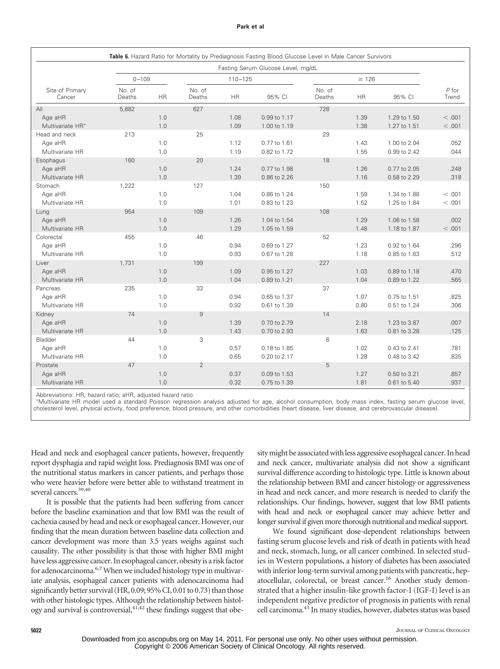#### **Park et al**

| Table 6. Hazard Ratio for Mortality by Prediagnosis Fasting Blood Glucose Level in Male Cancer Survivors |                  |            |                  |              |                                    |                  |              |                              |                  |
|----------------------------------------------------------------------------------------------------------|------------------|------------|------------------|--------------|------------------------------------|------------------|--------------|------------------------------|------------------|
|                                                                                                          |                  |            |                  |              | Fasting Serum Glucose Level, mg/dL |                  |              |                              |                  |
|                                                                                                          | $0 - 109$        |            | $110 - 125$      |              |                                    |                  |              |                              |                  |
| Site of Primary<br>Cancer                                                                                | No. of<br>Deaths | <b>HR</b>  | No. of<br>Deaths | <b>HR</b>    | 95% CI                             | No. of<br>Deaths | <b>HR</b>    | 95% CI                       | $P$ for<br>Trend |
| AlI<br>Age aHR                                                                                           | 5,882            | 1.0        | 627              | 1.08         | 0.99 to 1.17                       | 728              | 1.39         | 1.29 to 1.50                 | < .001           |
| Multivariate HR*                                                                                         |                  | 1.0        |                  | 1.09         | 1.00 to 1.19                       |                  | 1.38         | 1.27 to 1.51                 | < .001           |
| Head and neck                                                                                            | 213              |            | 25               |              |                                    | 29               |              |                              |                  |
| Age aHR                                                                                                  |                  | 1.0        |                  | 1.12         | 0.77 to 1.61                       |                  | 1.43         | 1.00 to 2.04                 | .052             |
| Multivariate HR                                                                                          |                  | 1.0        |                  | 1.19         | 0.82 to 1.72                       |                  | 1.55         | 0.99 to 2.42                 | .044             |
| Esophagus                                                                                                | 160              |            | 20               |              |                                    | 18               |              |                              |                  |
| Age aHR                                                                                                  |                  | 1.0        |                  | 1.24         | 0.77 to 1.98                       |                  | 1.26         | 0.77 to 2.05                 | .248             |
| Multivariate HR                                                                                          |                  | 1.0        |                  | 1.39         | 0.86 to 2.26                       |                  | 1.16         | 0.58 to 2.29                 | .318             |
| Stomach                                                                                                  | 1,222            |            | 127              | 1.04         | 0.86 to 1.24                       | 150              |              | 1.34 to 1.88                 | < .001           |
| Age aHR<br>Multivariate HR                                                                               |                  | 1.0<br>1.0 |                  | 1.01         | 0.83 to 1.23                       |                  | 1.59<br>1.52 | 1.25 to 1.84                 | < .001           |
| Lung                                                                                                     | 954              |            | 109              |              |                                    | 108              |              |                              |                  |
| Age aHR                                                                                                  |                  | 1.0        |                  | 1.26         | 1.04 to 1.54                       |                  | 1.29         | 1.06 to 1.58                 | .002             |
| Multivariate HR                                                                                          |                  | 1.0        |                  | 1.29         | 1.05 to 1.59                       |                  | 1.48         | 1.18 to 1.87                 | < .001           |
| Colorectal                                                                                               | 455              |            | 46               |              |                                    | 52               |              |                              |                  |
| Age aHR                                                                                                  |                  | 1.0        |                  | 0.94         | 0.69 to 1.27                       |                  | 1.23         | 0.92 to 1.64                 | .296             |
| Multivariate HR                                                                                          |                  | 1.0        |                  | 0.93         | 0.67 to 1.28                       |                  | 1.18         | 0.85 to 1.63                 | .512             |
| Liver                                                                                                    | 1,731            |            | 199              |              |                                    | 227              |              |                              |                  |
| Age aHR                                                                                                  |                  | 1.0        |                  | 1.09         | 0.95 to 1.27                       |                  | 1.03         | 0.89 to 1.18                 | .470             |
| Multivariate HR                                                                                          |                  | 1.0        |                  | 1.04         | 0.89 to 1.21                       |                  | 1.04         | 0.89 to 1.22                 | .565             |
| Pancreas                                                                                                 | 235              |            | 33               |              |                                    | 37               |              |                              |                  |
| Age aHR                                                                                                  |                  | 1.0        |                  | 0.94         | 0.65 to 1.37                       |                  | 1.07         | 0.75 to 1.51                 | .825             |
| Multivariate HR                                                                                          |                  | 1.0        |                  | 0.92         | 0.61 to 1.39                       |                  | 0.80         | 0.51 to 1.24                 | .306             |
| Kidney                                                                                                   | 74               |            | 9                |              |                                    | 14               |              |                              |                  |
| Age aHR<br>Multivariate HR                                                                               |                  | 1.0<br>1.0 |                  | 1.39<br>1.43 | 0.70 to 2.79<br>0.70 to 2.93       |                  | 2.18<br>1.63 | 1.23 to 3.87<br>0.81 to 3.28 | .007<br>.125     |
| Bladder                                                                                                  | 44               |            | 3                |              |                                    | 6                |              |                              |                  |
| Age aHR                                                                                                  |                  | 1.0        |                  | 0.57         | 0.18 to 1.85                       |                  | 1.02         | 0.43 to 2.41                 | .781             |
| Multivariate HR                                                                                          |                  | 1.0        |                  | 0.65         | 0.20 to 2.17                       |                  | 1.28         | 0.48 to 3.42                 | .835             |
| Prostate                                                                                                 | 47               |            | $\overline{2}$   |              |                                    | 5                |              |                              |                  |
| Age aHR                                                                                                  |                  | 1.0        |                  | 0.37         | 0.09 to 1.53                       |                  | 1.27         | 0.50 to 3.21                 | .857             |
| Multivariate HR                                                                                          |                  | 1.0        |                  | 0.32         | 0.75 to 1.39                       |                  | 1.81         | 0.61 to 5.40                 | .937             |

Abbreviations: HR, hazard ratio; aHR, adjusted hazard ratio.

 Multivariate HR model used a standard Poisson regression analysis adjusted for age, alcohol consumption, body mass index, fasting serum glucose level, cholesterol level, physical activity, food preference, blood pressure, and other comorbidities (heart disease, liver disease, and cerebrovascular disease).

Head and neck and esophageal cancer patients, however, frequently report dysphagia and rapid weight loss. Prediagnosis BMI was one of the nutritional status markers in cancer patients, and perhaps those who were heavier before were better able to withstand treatment in several cancers.<sup>39,40</sup>

It is possible that the patients had been suffering from cancer before the baseline examination and that low BMI was the result of cachexia caused by head and neck or esophageal cancer. However, our finding that the mean duration between baseline data collection and cancer development was more than 3.5 years weighs against such causality. The other possibility is that those with higher BMI might have less aggressive cancer. In esophageal cancer, obesity is a risk factor for adenocarcinoma.<sup>6,7</sup> When we included histology type in multivariate analysis, esophageal cancer patients with adenocarcinoma had significantly better survival (HR, 0.09; 95% CI, 0.01 to 0.73) than those with other histologic types. Although the relationship between histology and survival is controversial,  $41,42$  these findings suggest that obesity might be associated with less aggressive esophageal cancer. In head and neck cancer, multivariate analysis did not show a significant survival difference according to histologic type. Little is known about the relationship between BMI and cancer histology or aggressiveness in head and neck cancer, and more research is needed to clarify the relationships. Our findings, however, suggest that low BMI patients with head and neck or esophageal cancer may achieve better and longer survival if given more thorough nutritional and medical support.

We found significant dose-dependent relationships between fasting serum glucose levels and risk of death in patients with head and neck, stomach, lung, or all cancer combined. In selected studies in Western populations, a history of diabetes has been associated with inferior long-term survival among patients with pancreatic, hepatocellular, colorectal, or breast cancer.<sup>16</sup> Another study demonstrated that a higher insulin-like growth factor-I (IGF-I) level is an independent negative predictor of prognosis in patients with renal cell carcinoma.43 In many studies, however, diabetes status was based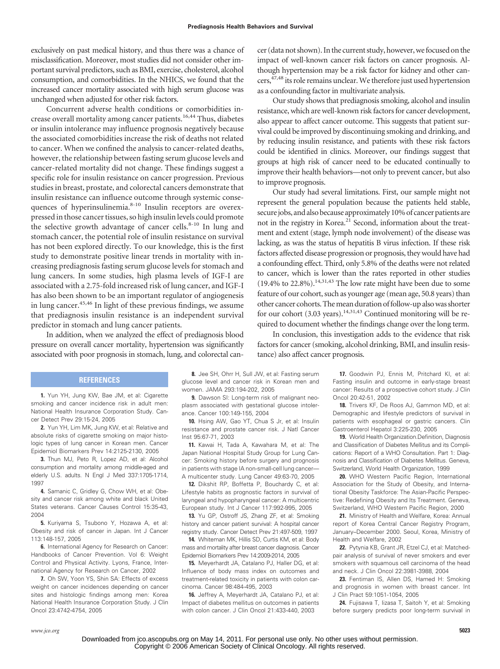exclusively on past medical history, and thus there was a chance of misclassification. Moreover, most studies did not consider other important survival predictors, such as BMI, exercise, cholesterol, alcohol consumption, and comorbidities. In the NHICS, we found that the increased cancer mortality associated with high serum glucose was unchanged when adjusted for other risk factors.

Concurrent adverse health conditions or comorbidities increase overall mortality among cancer patients.<sup>16,44</sup> Thus, diabetes or insulin intolerance may influence prognosis negatively because the associated comorbidities increase the risk of deaths not related to cancer. When we confined the analysis to cancer-related deaths, however, the relationship between fasting serum glucose levels and cancer-related mortality did not change. These findings suggest a specific role for insulin resistance on cancer progression. Previous studies in breast, prostate, and colorectal cancers demonstrate that insulin resistance can influence outcome through systemic consequences of hyperinsulinemia.<sup>8-10</sup> Insulin receptors are overexpressed in those cancer tissues, so high insulin levels could promote the selective growth advantage of cancer cells.<sup>8-10</sup> In lung and stomach cancer, the potential role of insulin resistance on survival has not been explored directly. To our knowledge, this is the first study to demonstrate positive linear trends in mortality with increasing prediagnosis fasting serum glucose levels for stomach and lung cancers. In some studies, high plasma levels of IGF-I are associated with a 2.75-fold increased risk of lung cancer, and IGF-I has also been shown to be an important regulator of angiogenesis in lung cancer.<sup>45,46</sup> In light of these previous findings, we assume that prediagnosis insulin resistance is an independent survival predictor in stomach and lung cancer patients.

In addition, when we analyzed the effect of prediagnosis blood pressure on overall cancer mortality, hypertension was significantly associated with poor prognosis in stomach, lung, and colorectal cancer (data not shown). In the current study, however, we focused on the impact of well-known cancer risk factors on cancer prognosis. Although hypertension may be a risk factor for kidney and other cancers,47,48 its role remains unclear.We therefore just used hypertension as a confounding factor in multivariate analysis.

Our study shows that prediagnosis smoking, alcohol and insulin resistance, which are well-known risk factors for cancer development, also appear to affect cancer outcome. This suggests that patient survival could be improved by discontinuing smoking and drinking, and by reducing insulin resistance, and patients with these risk factors could be identified in clinics. Moreover, our findings suggest that groups at high risk of cancer need to be educated continually to improve their health behaviors—not only to prevent cancer, but also to improve prognosis.

Our study had several limitations. First, our sample might not represent the general population because the patients held stable, secure jobs, and also because approximately 10% of cancer patients are not in the registry in Korea.<sup>21</sup> Second, information about the treatment and extent (stage, lymph node involvement) of the disease was lacking, as was the status of hepatitis B virus infection. If these risk factors affected disease progression or prognosis, they would have had a confounding effect. Third, only 5.8% of the deaths were not related to cancer, which is lower than the rates reported in other studies  $(19.4\%$  to  $22.8\%).$ <sup>14,31,43</sup> The low rate might have been due to some feature of our cohort, such as younger age (mean age, 50.8 years) than other cancer cohorts.Themean duration offollow-up alsowas shorter for our cohort  $(3.03 \text{ years})$ .<sup>14,31,43</sup> Continued monitoring will be required to document whether the findings change over the long term.

In conclusion, this investigation adds to the evidence that risk factors for cancer (smoking, alcohol drinking, BMI, and insulin resistance) also affect cancer prognosis.

#### **REFERENCES**

**1.** Yun YH, Jung KW, Bae JM, et al: Cigarette smoking and cancer incidence risk in adult men: National Health Insurance Corporation Study. Cancer Detect Prev 29:15-24, 2005

**2.** Yun YH, Lim MK, Jung KW, et al: Relative and absolute risks of cigarette smoking on major histologic types of lung cancer in Korean men. Cancer Epidemiol Biomarkers Prev 14:2125-2130, 2005

**3.** Thun MJ, Peto R, Lopez AD, et al: Alcohol consumption and mortality among middle-aged and elderly U.S. adults. N Engl J Med 337:1705-1714, 1997

**4.** Samanic C, Gridley G, Chow WH, et al: Obesity and cancer risk among white and black United States veterans. Cancer Causes Control 15:35-43, 2004

**5.** Kuriyama S, Tsubono Y, Hozawa A, et al: Obesity and risk of cancer in Japan. Int J Cancer 113:148-157, 2005

**6.** International Agency for Research on Cancer: Handbooks of Cancer Prevention. Vol 6: Weight Control and Physical Activity. Lyons, France, International Agency for Research on Cancer, 2002

**7.** Oh SW, Yoon YS, Shin SA: Effects of excess weight on cancer incidences depending on cancer sites and histologic findings among men: Korea National Health Insurance Corporation Study. J Clin Oncol 23:4742-4754, 2005

**8.** Jee SH, Ohrr H, Sull JW, et al: Fasting serum glucose level and cancer risk in Korean men and women. JAMA 293:194-202, 2005

**9.** Dawson SI: Long-term risk of malignant neoplasm associated with gestational glucose intolerance. Cancer 100:149-155, 2004

**10.** Hsing AW, Gao YT, Chua S Jr, et al: Insulin resistance and prostate cancer risk. J Natl Cancer Inst 95:67-71, 2003

**11.** Kawai H, Tada A, Kawahara M, et al: The Japan National Hospital Study Group for Lung Cancer: Smoking history before surgery and prognosis in patients with stage IA non-small-cell lung cancer— A multicenter study. Lung Cancer 49:63-70, 2005

**12.** Dikshit RP, Boffetta P, Bouchardy C, et al: Lifestyle habits as prognostic factors in survival of laryngeal and hypopharyngeal cancer: A multicentric European study. Int J Cancer 117:992-995, 2005

**13.** Yu GP, Ostroff JS, Zhang ZF, et al: Smoking history and cancer patient survival: A hospital cancer registry study. Cancer Detect Prev 21:497-509, 1997

**14.** Whiteman MK, Hillis SD, Curtis KM, et al: Body mass and mortality after breast cancer diagnosis. Cancer Epidemiol Biomarkers Prev 14:2009-2014, 2005

**15.** Meyerhardt JA, Catalano PJ, Haller DG, et al: Influence of body mass index on outcomes and treatment-related toxicity in patients with colon carcinoma. Cancer 98:484-495, 2003

**16.** Jeffrey A, Meyerhardt JA, Catalano PJ, et al: Impact of diabetes mellitus on outcomes in patients with colon cancer. J Clin Oncol 21:433-440, 2003

**17.** Goodwin PJ, Ennis M, Pritchard KI, et al: Fasting insulin and outcome in early-stage breast cancer: Results of a prospective cohort study. J Clin Oncol 20:42-51, 2002

**18.** Trivers KF, De Roos AJ, Gammon MD, et al: Demographic and lifestyle predictors of survival in patients with esophageal or gastric cancers. Clin Gastroenterol Hepatol 3:225-230, 2005

**19.** World Health Organization.Definition, Diagnosis and Classification of Diabetes Mellitus and its Complications: Report of a WHO Consultation. Part 1: Diagnosis and Classification of Diabetes Mellitus. Geneva, Switzerland, World Health Organization, 1999

**20.** WHO Western Pacific Region, International Association for the Study of Obesity, and International Obesity Taskforce: The Asian-Pacific Perspective: Redefining Obesity and Its Treatment. Geneva, Switzerland, WHO Western Pacific Region, 2000

**21.** Ministry of Health and Welfare, Korea: Annual report of Korea Central Cancer Registry Program, January–December 2000. Seoul, Korea, Ministry of Health and Welfare, 2002

**22.** Pytynia KB, Grant JR, Etzel CJ, et al: Matchedpair analysis of survival of never smokers and ever smokers with squamous cell carcinoma of the head and neck. J Clin Oncol 22:3981-3988, 2004

**23.** Fentiman IS, Allen DS, Hamed H: Smoking and prognosis in women with breast cancer. Int J Clin Pract 59:1051-1054, 2005

**24.** Fujisawa T, Iizasa T, Saitoh Y, et al: Smoking before surgery predicts poor long-term survival in